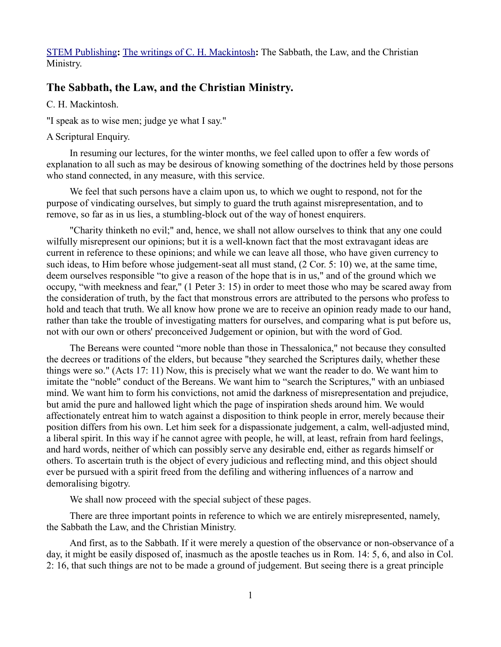[STEM Publishing](http://www.stempublishing.com/)**:** [The writings of C. H. Mackintosh](http://www.stempublishing.com/authors/mackintosh/index.html)**:** The Sabbath, the Law, and the Christian Ministry.

## **The Sabbath, the Law, and the Christian Ministry.**

C. H. Mackintosh.

"I speak as to wise men; judge ye what I say."

A Scriptural Enquiry.

In resuming our lectures, for the winter months, we feel called upon to offer a few words of explanation to all such as may be desirous of knowing something of the doctrines held by those persons who stand connected, in any measure, with this service.

We feel that such persons have a claim upon us, to which we ought to respond, not for the purpose of vindicating ourselves, but simply to guard the truth against misrepresentation, and to remove, so far as in us lies, a stumbling-block out of the way of honest enquirers.

"Charity thinketh no evil;" and, hence, we shall not allow ourselves to think that any one could wilfully misrepresent our opinions; but it is a well-known fact that the most extravagant ideas are current in reference to these opinions; and while we can leave all those, who have given currency to such ideas, to Him before whose judgement-seat all must stand, (2 Cor. 5: 10) we, at the same time, deem ourselves responsible "to give a reason of the hope that is in us," and of the ground which we occupy, "with meekness and fear," (1 Peter 3: 15) in order to meet those who may be scared away from the consideration of truth, by the fact that monstrous errors are attributed to the persons who profess to hold and teach that truth. We all know how prone we are to receive an opinion ready made to our hand, rather than take the trouble of investigating matters for ourselves, and comparing what is put before us, not with our own or others' preconceived Judgement or opinion, but with the word of God.

The Bereans were counted "more noble than those in Thessalonica," not because they consulted the decrees or traditions of the elders, but because "they searched the Scriptures daily, whether these things were so." (Acts 17: 11) Now, this is precisely what we want the reader to do. We want him to imitate the "noble" conduct of the Bereans. We want him to "search the Scriptures," with an unbiased mind. We want him to form his convictions, not amid the darkness of misrepresentation and prejudice, but amid the pure and hallowed light which the page of inspiration sheds around him. We would affectionately entreat him to watch against a disposition to think people in error, merely because their position differs from his own. Let him seek for a dispassionate judgement, a calm, well-adjusted mind, a liberal spirit. In this way if he cannot agree with people, he will, at least, refrain from hard feelings, and hard words, neither of which can possibly serve any desirable end, either as regards himself or others. To ascertain truth is the object of every judicious and reflecting mind, and this object should ever be pursued with a spirit freed from the defiling and withering influences of a narrow and demoralising bigotry.

We shall now proceed with the special subject of these pages.

There are three important points in reference to which we are entirely misrepresented, namely, the Sabbath the Law, and the Christian Ministry.

And first, as to the Sabbath. If it were merely a question of the observance or non-observance of a day, it might be easily disposed of, inasmuch as the apostle teaches us in Rom. 14: 5, 6, and also in Col. 2: 16, that such things are not to be made a ground of judgement. But seeing there is a great principle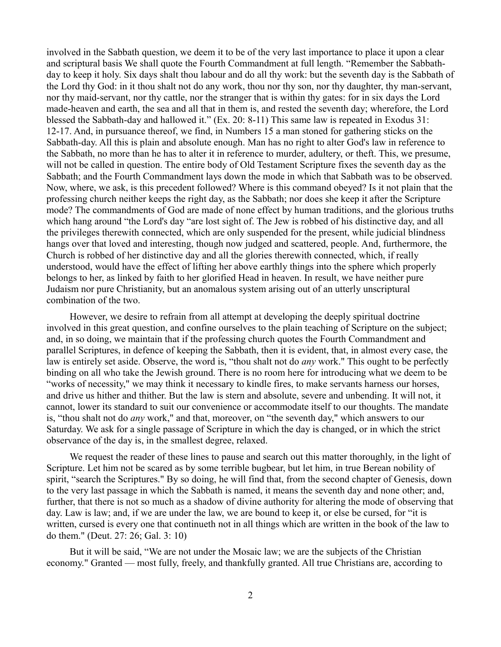involved in the Sabbath question, we deem it to be of the very last importance to place it upon a clear and scriptural basis We shall quote the Fourth Commandment at full length. "Remember the Sabbathday to keep it holy. Six days shalt thou labour and do all thy work: but the seventh day is the Sabbath of the Lord thy God: in it thou shalt not do any work, thou nor thy son, nor thy daughter, thy man-servant, nor thy maid-servant, nor thy cattle, nor the stranger that is within thy gates: for in six days the Lord made-heaven and earth, the sea and all that in them is, and rested the seventh day; wherefore, the Lord blessed the Sabbath-day and hallowed it." (Ex. 20: 8-11) This same law is repeated in Exodus 31: 12-17. And, in pursuance thereof, we find, in Numbers 15 a man stoned for gathering sticks on the Sabbath-day. All this is plain and absolute enough. Man has no right to alter God's law in reference to the Sabbath, no more than he has to alter it in reference to murder, adultery, or theft. This, we presume, will not be called in question. The entire body of Old Testament Scripture fixes the seventh day as the Sabbath; and the Fourth Commandment lays down the mode in which that Sabbath was to be observed. Now, where, we ask, is this precedent followed? Where is this command obeyed? Is it not plain that the professing church neither keeps the right day, as the Sabbath; nor does she keep it after the Scripture mode? The commandments of God are made of none effect by human traditions, and the glorious truths which hang around "the Lord's day "are lost sight of. The Jew is robbed of his distinctive day, and all the privileges therewith connected, which are only suspended for the present, while judicial blindness hangs over that loved and interesting, though now judged and scattered, people. And, furthermore, the Church is robbed of her distinctive day and all the glories therewith connected, which, if really understood, would have the effect of lifting her above earthly things into the sphere which properly belongs to her, as linked by faith to her glorified Head in heaven. In result, we have neither pure Judaism nor pure Christianity, but an anomalous system arising out of an utterly unscriptural combination of the two.

However, we desire to refrain from all attempt at developing the deeply spiritual doctrine involved in this great question, and confine ourselves to the plain teaching of Scripture on the subject; and, in so doing, we maintain that if the professing church quotes the Fourth Commandment and parallel Scriptures, in defence of keeping the Sabbath, then it is evident, that, in almost every case, the law is entirely set aside. Observe, the word is, "thou shalt not do *any* work." This ought to be perfectly binding on all who take the Jewish ground. There is no room here for introducing what we deem to be "works of necessity," we may think it necessary to kindle fires, to make servants harness our horses, and drive us hither and thither. But the law is stern and absolute, severe and unbending. It will not, it cannot, lower its standard to suit our convenience or accommodate itself to our thoughts. The mandate is, "thou shalt not do *any* work," and that, moreover, on "the seventh day," which answers to our Saturday. We ask for a single passage of Scripture in which the day is changed, or in which the strict observance of the day is, in the smallest degree, relaxed.

We request the reader of these lines to pause and search out this matter thoroughly, in the light of Scripture. Let him not be scared as by some terrible bugbear, but let him, in true Berean nobility of spirit, "search the Scriptures." By so doing, he will find that, from the second chapter of Genesis, down to the very last passage in which the Sabbath is named, it means the seventh day and none other; and, further, that there is not so much as a shadow of divine authority for altering the mode of observing that day. Law is law; and, if we are under the law, we are bound to keep it, or else be cursed, for "it is written, cursed is every one that continueth not in all things which are written in the book of the law to do them." (Deut. 27: 26; Gal. 3: 10)

But it will be said, "We are not under the Mosaic law; we are the subjects of the Christian economy." Granted — most fully, freely, and thankfully granted. All true Christians are, according to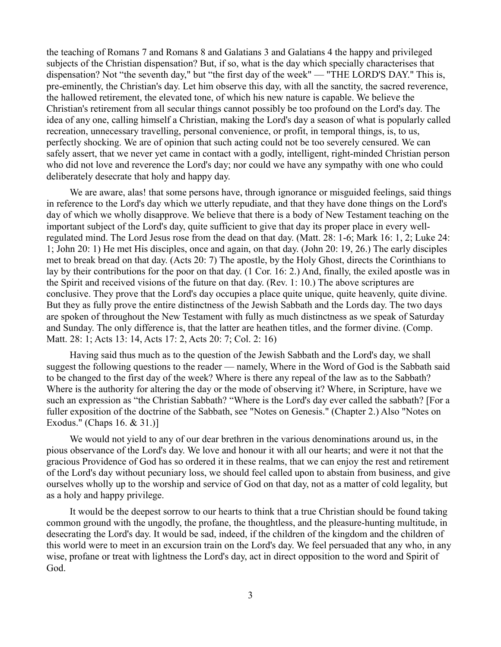the teaching of Romans 7 and Romans 8 and Galatians 3 and Galatians 4 the happy and privileged subjects of the Christian dispensation? But, if so, what is the day which specially characterises that dispensation? Not "the seventh day," but "the first day of the week" — "THE LORD'S DAY." This is, pre-eminently, the Christian's day. Let him observe this day, with all the sanctity, the sacred reverence, the hallowed retirement, the elevated tone, of which his new nature is capable. We believe the Christian's retirement from all secular things cannot possibly be too profound on the Lord's day. The idea of any one, calling himself a Christian, making the Lord's day a season of what is popularly called recreation, unnecessary travelling, personal convenience, or profit, in temporal things, is, to us, perfectly shocking. We are of opinion that such acting could not be too severely censured. We can safely assert, that we never yet came in contact with a godly, intelligent, right-minded Christian person who did not love and reverence the Lord's day; nor could we have any sympathy with one who could deliberately desecrate that holy and happy day.

We are aware, alas! that some persons have, through ignorance or misguided feelings, said things in reference to the Lord's day which we utterly repudiate, and that they have done things on the Lord's day of which we wholly disapprove. We believe that there is a body of New Testament teaching on the important subject of the Lord's day, quite sufficient to give that day its proper place in every wellregulated mind. The Lord Jesus rose from the dead on that day. (Matt. 28: 1-6; Mark 16: 1, 2; Luke 24: 1; John 20: 1) He met His disciples, once and again, on that day. (John 20: 19, 26.) The early disciples met to break bread on that day. (Acts 20: 7) The apostle, by the Holy Ghost, directs the Corinthians to lay by their contributions for the poor on that day. (1 Cor. 16: 2.) And, finally, the exiled apostle was in the Spirit and received visions of the future on that day. (Rev. 1: 10.) The above scriptures are conclusive. They prove that the Lord's day occupies a place quite unique, quite heavenly, quite divine. But they as fully prove the entire distinctness of the Jewish Sabbath and the Lords day. The two days are spoken of throughout the New Testament with fully as much distinctness as we speak of Saturday and Sunday. The only difference is, that the latter are heathen titles, and the former divine. (Comp. Matt. 28: 1; Acts 13: 14, Acts 17: 2, Acts 20: 7; Col. 2: 16)

Having said thus much as to the question of the Jewish Sabbath and the Lord's day, we shall suggest the following questions to the reader — namely, Where in the Word of God is the Sabbath said to be changed to the first day of the week? Where is there any repeal of the law as to the Sabbath? Where is the authority for altering the day or the mode of observing it? Where, in Scripture, have we such an expression as "the Christian Sabbath? "Where is the Lord's day ever called the sabbath? [For a fuller exposition of the doctrine of the Sabbath, see "Notes on Genesis." (Chapter 2.) Also "Notes on Exodus." (Chaps 16. & 31.)]

We would not yield to any of our dear brethren in the various denominations around us, in the pious observance of the Lord's day. We love and honour it with all our hearts; and were it not that the gracious Providence of God has so ordered it in these realms, that we can enjoy the rest and retirement of the Lord's day without pecuniary loss, we should feel called upon to abstain from business, and give ourselves wholly up to the worship and service of God on that day, not as a matter of cold legality, but as a holy and happy privilege.

It would be the deepest sorrow to our hearts to think that a true Christian should be found taking common ground with the ungodly, the profane, the thoughtless, and the pleasure-hunting multitude, in desecrating the Lord's day. It would be sad, indeed, if the children of the kingdom and the children of this world were to meet in an excursion train on the Lord's day. We feel persuaded that any who, in any wise, profane or treat with lightness the Lord's day, act in direct opposition to the word and Spirit of God.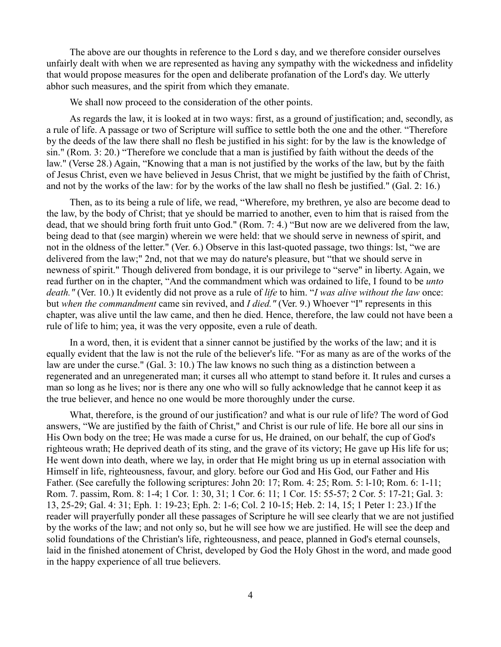The above are our thoughts in reference to the Lord s day, and we therefore consider ourselves unfairly dealt with when we are represented as having any sympathy with the wickedness and infidelity that would propose measures for the open and deliberate profanation of the Lord's day. We utterly abhor such measures, and the spirit from which they emanate.

We shall now proceed to the consideration of the other points.

As regards the law, it is looked at in two ways: first, as a ground of justification; and, secondly, as a rule of life. A passage or two of Scripture will suffice to settle both the one and the other. "Therefore by the deeds of the law there shall no flesh be justified in his sight: for by the law is the knowledge of sin." (Rom. 3: 20.) "Therefore we conclude that a man is justified by faith without the deeds of the law." (Verse 28.) Again, "Knowing that a man is not justified by the works of the law, but by the faith of Jesus Christ, even we have believed in Jesus Christ, that we might be justified by the faith of Christ, and not by the works of the law: for by the works of the law shall no flesh be justified." (Gal. 2: 16.)

Then, as to its being a rule of life, we read, "Wherefore, my brethren, ye also are become dead to the law, by the body of Christ; that ye should be married to another, even to him that is raised from the dead, that we should bring forth fruit unto God." (Rom. 7: 4.) "But now are we delivered from the law, being dead to that (see margin) wherein we were held: that we should serve in newness of spirit, and not in the oldness of the letter." (Ver. 6.) Observe in this last-quoted passage, two things: lst, "we are delivered from the law;" 2nd, not that we may do nature's pleasure, but "that we should serve in newness of spirit." Though delivered from bondage, it is our privilege to "serve" in liberty. Again, we read further on in the chapter, "And the commandment which was ordained to life, I found to be *unto death."* (Ver. 10.) It evidently did not prove as a rule of *life* to him. "*I was alive without the law* once: but *when the commandment* came sin revived, and *I died."* (Ver. 9.) Whoever "I" represents in this chapter, was alive until the law came, and then he died. Hence, therefore, the law could not have been a rule of life to him; yea, it was the very opposite, even a rule of death.

In a word, then, it is evident that a sinner cannot be justified by the works of the law; and it is equally evident that the law is not the rule of the believer's life. "For as many as are of the works of the law are under the curse." (Gal. 3: 10.) The law knows no such thing as a distinction between a regenerated and an unregenerated man; it curses all who attempt to stand before it. It rules and curses a man so long as he lives; nor is there any one who will so fully acknowledge that he cannot keep it as the true believer, and hence no one would be more thoroughly under the curse.

What, therefore, is the ground of our justification? and what is our rule of life? The word of God answers, "We are justified by the faith of Christ," and Christ is our rule of life. He bore all our sins in His Own body on the tree; He was made a curse for us, He drained, on our behalf, the cup of God's righteous wrath; He deprived death of its sting, and the grave of its victory; He gave up His life for us; He went down into death, where we lay, in order that He might bring us up in eternal association with Himself in life, righteousness, favour, and glory. before our God and His God, our Father and His Father. (See carefully the following scriptures: John 20: 17; Rom. 4: 25; Rom. 5: 1-10; Rom. 6: 1-11; Rom. 7. passim, Rom. 8: 1-4; 1 Cor. 1: 30, 31; 1 Cor. 6: 11; 1 Cor. 15: 55-57; 2 Cor. 5: 17-21; Gal. 3: 13, 25-29; Gal. 4: 31; Eph. 1: 19-23; Eph. 2: 1-6; Col. 2 10-15; Heb. 2: 14, 15; 1 Peter 1: 23.) If the reader will prayerfully ponder all these passages of Scripture he will see clearly that we are not justified by the works of the law; and not only so, but he will see how we are justified. He will see the deep and solid foundations of the Christian's life, righteousness, and peace, planned in God's eternal counsels, laid in the finished atonement of Christ, developed by God the Holy Ghost in the word, and made good in the happy experience of all true believers.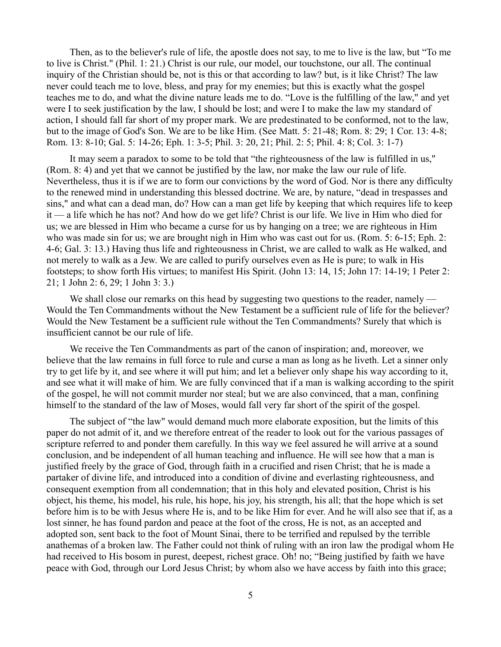Then, as to the believer's rule of life, the apostle does not say, to me to live is the law, but "To me to live is Christ." (Phil. 1: 21.) Christ is our rule, our model, our touchstone, our all. The continual inquiry of the Christian should be, not is this or that according to law? but, is it like Christ? The law never could teach me to love, bless, and pray for my enemies; but this is exactly what the gospel teaches me to do, and what the divine nature leads me to do. "Love is the fulfilling of the law," and yet were I to seek justification by the law, I should be lost; and were I to make the law my standard of action, I should fall far short of my proper mark. We are predestinated to be conformed, not to the law, but to the image of God's Son. We are to be like Him. (See Matt. 5: 21-48; Rom. 8: 29; 1 Cor. 13: 4-8; Rom. 13: 8-10; Gal. 5: 14-26; Eph. 1: 3-5; Phil. 3: 20, 21; Phil. 2: 5; Phil. 4: 8; Col. 3: 1-7)

It may seem a paradox to some to be told that "the righteousness of the law is fulfilled in us," (Rom. 8: 4) and yet that we cannot be justified by the law, nor make the law our rule of life. Nevertheless, thus it is if we are to form our convictions by the word of God. Nor is there any difficulty to the renewed mind in understanding this blessed doctrine. We are, by nature, "dead in trespasses and sins," and what can a dead man, do? How can a man get life by keeping that which requires life to keep it — a life which he has not? And how do we get life? Christ is our life. We live in Him who died for us; we are blessed in Him who became a curse for us by hanging on a tree; we are righteous in Him who was made sin for us; we are brought nigh in Him who was cast out for us. (Rom. 5: 6-15; Eph. 2: 4-6; Gal. 3: 13.) Having thus life and righteousness in Christ, we are called to walk as He walked, and not merely to walk as a Jew. We are called to purify ourselves even as He is pure; to walk in His footsteps; to show forth His virtues; to manifest His Spirit. (John 13: 14, 15; John 17: 14-19; 1 Peter 2: 21; 1 John 2: 6, 29; 1 John 3: 3.)

We shall close our remarks on this head by suggesting two questions to the reader, namely — Would the Ten Commandments without the New Testament be a sufficient rule of life for the believer? Would the New Testament be a sufficient rule without the Ten Commandments? Surely that which is insufficient cannot be our rule of life.

We receive the Ten Commandments as part of the canon of inspiration; and, moreover, we believe that the law remains in full force to rule and curse a man as long as he liveth. Let a sinner only try to get life by it, and see where it will put him; and let a believer only shape his way according to it, and see what it will make of him. We are fully convinced that if a man is walking according to the spirit of the gospel, he will not commit murder nor steal; but we are also convinced, that a man, confining himself to the standard of the law of Moses, would fall very far short of the spirit of the gospel.

The subject of "the law" would demand much more elaborate exposition, but the limits of this paper do not admit of it, and we therefore entreat of the reader to look out for the various passages of scripture referred to and ponder them carefully. In this way we feel assured he will arrive at a sound conclusion, and be independent of all human teaching and influence. He will see how that a man is justified freely by the grace of God, through faith in a crucified and risen Christ; that he is made a partaker of divine life, and introduced into a condition of divine and everlasting righteousness, and consequent exemption from all condemnation; that in this holy and elevated position, Christ is his object, his theme, his model, his rule, his hope, his joy, his strength, his all; that the hope which is set before him is to be with Jesus where He is, and to be like Him for ever. And he will also see that if, as a lost sinner, he has found pardon and peace at the foot of the cross, He is not, as an accepted and adopted son, sent back to the foot of Mount Sinai, there to be terrified and repulsed by the terrible anathemas of a broken law. The Father could not think of ruling with an iron law the prodigal whom He had received to His bosom in purest, deepest, richest grace. Oh! no; "Being justified by faith we have peace with God, through our Lord Jesus Christ; by whom also we have access by faith into this grace;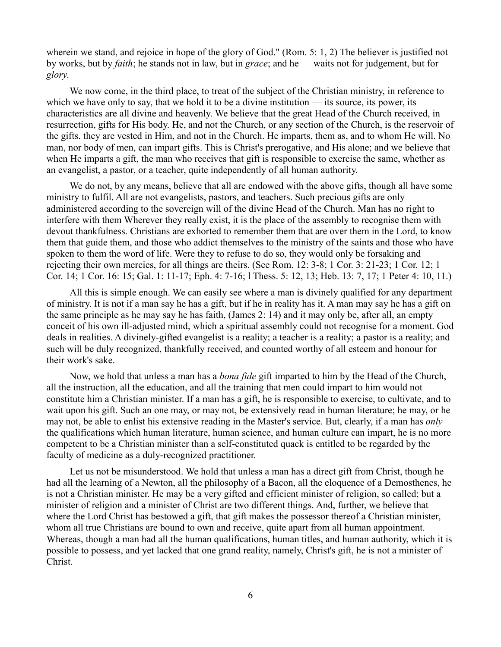wherein we stand, and rejoice in hope of the glory of God." (Rom. 5: 1, 2) The believer is justified not by works, but by *faith*; he stands not in law, but in *grace*; and he — waits not for judgement, but for *glory*.

We now come, in the third place, to treat of the subject of the Christian ministry, in reference to which we have only to say, that we hold it to be a divine institution — its source, its power, its characteristics are all divine and heavenly. We believe that the great Head of the Church received, in resurrection, gifts for His body. He, and not the Church, or any section of the Church, is the reservoir of the gifts. they are vested in Him, and not in the Church. He imparts, them as, and to whom He will. No man, nor body of men, can impart gifts. This is Christ's prerogative, and His alone; and we believe that when He imparts a gift, the man who receives that gift is responsible to exercise the same, whether as an evangelist, a pastor, or a teacher, quite independently of all human authority.

We do not, by any means, believe that all are endowed with the above gifts, though all have some ministry to fulfil. All are not evangelists, pastors, and teachers. Such precious gifts are only administered according to the sovereign will of the divine Head of the Church. Man has no right to interfere with them Wherever they really exist, it is the place of the assembly to recognise them with devout thankfulness. Christians are exhorted to remember them that are over them in the Lord, to know them that guide them, and those who addict themselves to the ministry of the saints and those who have spoken to them the word of life. Were they to refuse to do so, they would only be forsaking and rejecting their own mercies, for all things are theirs. (See Rom. 12: 3-8; 1 Cor. 3: 21-23; 1 Cor. 12; 1 Cor. 14; 1 Cor. 16: 15; Gal. 1: 11-17; Eph. 4: 7-16; l Thess. 5: 12, 13; Heb. 13: 7, 17; 1 Peter 4: 10, 11.)

All this is simple enough. We can easily see where a man is divinely qualified for any department of ministry. It is not if a man say he has a gift, but if he in reality has it. A man may say he has a gift on the same principle as he may say he has faith, (James 2: 14) and it may only be, after all, an empty conceit of his own ill-adjusted mind, which a spiritual assembly could not recognise for a moment. God deals in realities. A divinely-gifted evangelist is a reality; a teacher is a reality; a pastor is a reality; and such will be duly recognized, thankfully received, and counted worthy of all esteem and honour for their work's sake.

Now, we hold that unless a man has a *bona fide* gift imparted to him by the Head of the Church, all the instruction, all the education, and all the training that men could impart to him would not constitute him a Christian minister. If a man has a gift, he is responsible to exercise, to cultivate, and to wait upon his gift. Such an one may, or may not, be extensively read in human literature; he may, or he may not, be able to enlist his extensive reading in the Master's service. But, clearly, if a man has *only* the qualifications which human literature, human science, and human culture can impart, he is no more competent to be a Christian minister than a self-constituted quack is entitled to be regarded by the faculty of medicine as a duly-recognized practitioner.

Let us not be misunderstood. We hold that unless a man has a direct gift from Christ, though he had all the learning of a Newton, all the philosophy of a Bacon, all the eloquence of a Demosthenes, he is not a Christian minister. He may be a very gifted and efficient minister of religion, so called; but a minister of religion and a minister of Christ are two different things. And, further, we believe that where the Lord Christ has bestowed a gift, that gift makes the possessor thereof a Christian minister, whom all true Christians are bound to own and receive, quite apart from all human appointment. Whereas, though a man had all the human qualifications, human titles, and human authority, which it is possible to possess, and yet lacked that one grand reality, namely, Christ's gift, he is not a minister of Christ.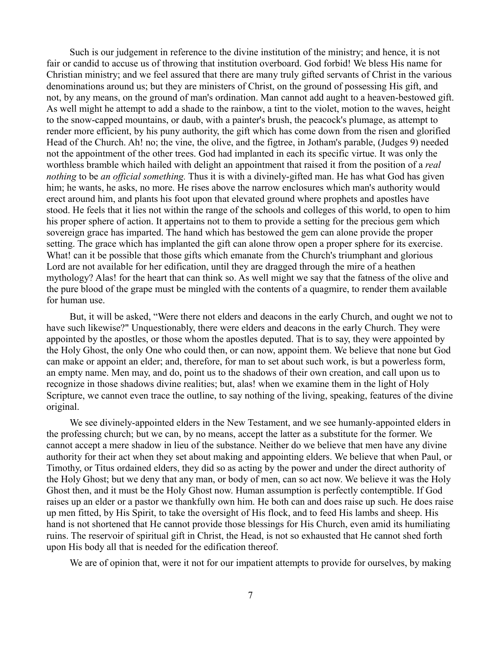Such is our judgement in reference to the divine institution of the ministry; and hence, it is not fair or candid to accuse us of throwing that institution overboard. God forbid! We bless His name for Christian ministry; and we feel assured that there are many truly gifted servants of Christ in the various denominations around us; but they are ministers of Christ, on the ground of possessing His gift, and not, by any means, on the ground of man's ordination. Man cannot add aught to a heaven-bestowed gift. As well might he attempt to add a shade to the rainbow, a tint to the violet, motion to the waves, height to the snow-capped mountains, or daub, with a painter's brush, the peacock's plumage, as attempt to render more efficient, by his puny authority, the gift which has come down from the risen and glorified Head of the Church. Ah! no; the vine, the olive, and the figtree, in Jotham's parable, (Judges 9) needed not the appointment of the other trees. God had implanted in each its specific virtue. It was only the worthless bramble which hailed with delight an appointment that raised it from the position of a *real nothing* to be *an official something.* Thus it is with a divinely-gifted man. He has what God has given him; he wants, he asks, no more. He rises above the narrow enclosures which man's authority would erect around him, and plants his foot upon that elevated ground where prophets and apostles have stood. He feels that it lies not within the range of the schools and colleges of this world, to open to him his proper sphere of action. It appertains not to them to provide a setting for the precious gem which sovereign grace has imparted. The hand which has bestowed the gem can alone provide the proper setting. The grace which has implanted the gift can alone throw open a proper sphere for its exercise. What! can it be possible that those gifts which emanate from the Church's triumphant and glorious Lord are not available for her edification, until they are dragged through the mire of a heathen mythology? Alas! for the heart that can think so. As well might we say that the fatness of the olive and the pure blood of the grape must be mingled with the contents of a quagmire, to render them available for human use.

But, it will be asked, "Were there not elders and deacons in the early Church, and ought we not to have such likewise?" Unquestionably, there were elders and deacons in the early Church. They were appointed by the apostles, or those whom the apostles deputed. That is to say, they were appointed by the Holy Ghost, the only One who could then, or can now, appoint them. We believe that none but God can make or appoint an elder; and, therefore, for man to set about such work, is but a powerless form, an empty name. Men may, and do, point us to the shadows of their own creation, and call upon us to recognize in those shadows divine realities; but, alas! when we examine them in the light of Holy Scripture, we cannot even trace the outline, to say nothing of the living, speaking, features of the divine original.

We see divinely-appointed elders in the New Testament, and we see humanly-appointed elders in the professing church; but we can, by no means, accept the latter as a substitute for the former. We cannot accept a mere shadow in lieu of the substance. Neither do we believe that men have any divine authority for their act when they set about making and appointing elders. We believe that when Paul, or Timothy, or Titus ordained elders, they did so as acting by the power and under the direct authority of the Holy Ghost; but we deny that any man, or body of men, can so act now. We believe it was the Holy Ghost then, and it must be the Holy Ghost now. Human assumption is perfectly contemptible. If God raises up an elder or a pastor we thankfully own him. He both can and does raise up such. He does raise up men fitted, by His Spirit, to take the oversight of His flock, and to feed His lambs and sheep. His hand is not shortened that He cannot provide those blessings for His Church, even amid its humiliating ruins. The reservoir of spiritual gift in Christ, the Head, is not so exhausted that He cannot shed forth upon His body all that is needed for the edification thereof.

We are of opinion that, were it not for our impatient attempts to provide for ourselves, by making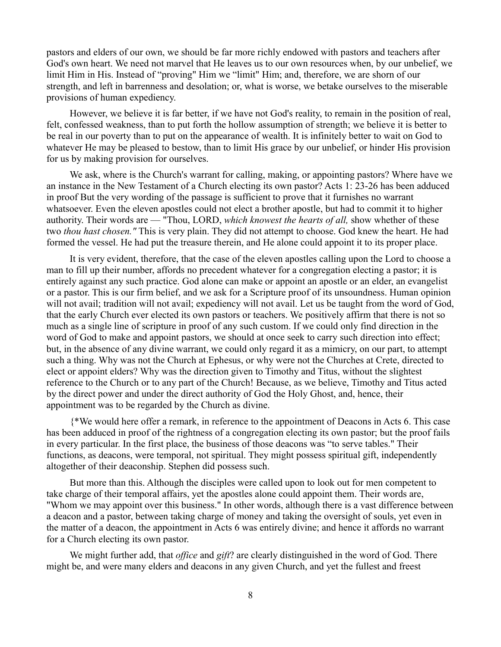pastors and elders of our own, we should be far more richly endowed with pastors and teachers after God's own heart. We need not marvel that He leaves us to our own resources when, by our unbelief, we limit Him in His. Instead of "proving" Him we "limit" Him; and, therefore, we are shorn of our strength, and left in barrenness and desolation; or, what is worse, we betake ourselves to the miserable provisions of human expediency.

However, we believe it is far better, if we have not God's reality, to remain in the position of real, felt, confessed weakness, than to put forth the hollow assumption of strength; we believe it is better to be real in our poverty than to put on the appearance of wealth. It is infinitely better to wait on God to whatever He may be pleased to bestow, than to limit His grace by our unbelief, or hinder His provision for us by making provision for ourselves.

We ask, where is the Church's warrant for calling, making, or appointing pastors? Where have we an instance in the New Testament of a Church electing its own pastor? Acts 1: 23-26 has been adduced in proof But the very wording of the passage is sufficient to prove that it furnishes no warrant whatsoever. Even the eleven apostles could not elect a brother apostle, but had to commit it to higher authority. Their words are — "Thou, LORD, *which knowest the hearts of all,* show whether of these two *thou hast chosen."* This is very plain. They did not attempt to choose. God knew the heart. He had formed the vessel. He had put the treasure therein, and He alone could appoint it to its proper place.

It is very evident, therefore, that the case of the eleven apostles calling upon the Lord to choose a man to fill up their number, affords no precedent whatever for a congregation electing a pastor; it is entirely against any such practice. God alone can make or appoint an apostle or an elder, an evangelist or a pastor. This is our firm belief, and we ask for a Scripture proof of its unsoundness. Human opinion will not avail; tradition will not avail; expediency will not avail. Let us be taught from the word of God, that the early Church ever elected its own pastors or teachers. We positively affirm that there is not so much as a single line of scripture in proof of any such custom. If we could only find direction in the word of God to make and appoint pastors, we should at once seek to carry such direction into effect; but, in the absence of any divine warrant, we could only regard it as a mimicry, on our part, to attempt such a thing. Why was not the Church at Ephesus, or why were not the Churches at Crete, directed to elect or appoint elders? Why was the direction given to Timothy and Titus, without the slightest reference to the Church or to any part of the Church! Because, as we believe, Timothy and Titus acted by the direct power and under the direct authority of God the Holy Ghost, and, hence, their appointment was to be regarded by the Church as divine.

{\*We would here offer a remark, in reference to the appointment of Deacons in Acts 6. This case has been adduced in proof of the rightness of a congregation electing its own pastor; but the proof fails in every particular. In the first place, the business of those deacons was "to serve tables." Their functions, as deacons, were temporal, not spiritual. They might possess spiritual gift, independently altogether of their deaconship. Stephen did possess such.

But more than this. Although the disciples were called upon to look out for men competent to take charge of their temporal affairs, yet the apostles alone could appoint them. Their words are, "Whom we may appoint over this business." In other words, although there is a vast difference between a deacon and a pastor, between taking charge of money and taking the oversight of souls, yet even in the matter of a deacon, the appointment in Acts 6 was entirely divine; and hence it affords no warrant for a Church electing its own pastor.

We might further add, that *office* and *gift*? are clearly distinguished in the word of God. There might be, and were many elders and deacons in any given Church, and yet the fullest and freest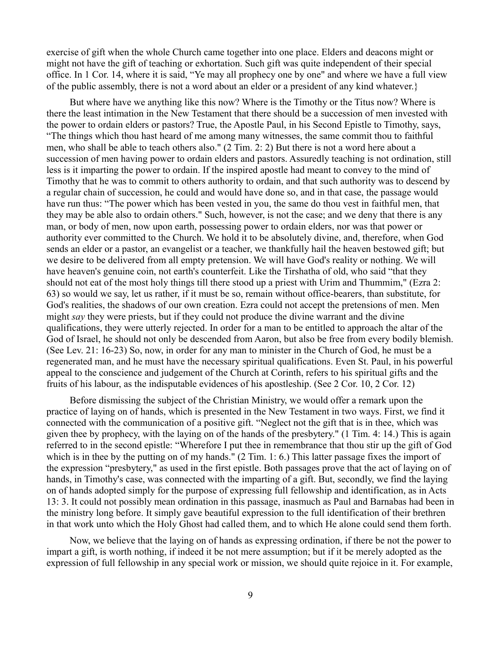exercise of gift when the whole Church came together into one place. Elders and deacons might or might not have the gift of teaching or exhortation. Such gift was quite independent of their special office. In 1 Cor. 14, where it is said, "Ye may all prophecy one by one" and where we have a full view of the public assembly, there is not a word about an elder or a president of any kind whatever.}

But where have we anything like this now? Where is the Timothy or the Titus now? Where is there the least intimation in the New Testament that there should be a succession of men invested with the power to ordain elders or pastors? True, the Apostle Paul, in his Second Epistle to Timothy, says, "The things which thou hast heard of me among many witnesses, the same commit thou to faithful men, who shall be able to teach others also." (2 Tim. 2: 2) But there is not a word here about a succession of men having power to ordain elders and pastors. Assuredly teaching is not ordination, still less is it imparting the power to ordain. If the inspired apostle had meant to convey to the mind of Timothy that he was to commit to others authority to ordain, and that such authority was to descend by a regular chain of succession, he could and would have done so, and in that case, the passage would have run thus: "The power which has been vested in you, the same do thou vest in faithful men, that they may be able also to ordain others." Such, however, is not the case; and we deny that there is any man, or body of men, now upon earth, possessing power to ordain elders, nor was that power or authority ever committed to the Church. We hold it to be absolutely divine, and, therefore, when God sends an elder or a pastor, an evangelist or a teacher, we thankfully hail the heaven bestowed gift; but we desire to be delivered from all empty pretension. We will have God's reality or nothing. We will have heaven's genuine coin, not earth's counterfeit. Like the Tirshatha of old, who said "that they should not eat of the most holy things till there stood up a priest with Urim and Thummim," (Ezra 2: 63) so would we say, let us rather, if it must be so, remain without office-bearers, than substitute, for God's realities, the shadows of our own creation. Ezra could not accept the pretensions of men. Men might *say* they were priests, but if they could not produce the divine warrant and the divine qualifications, they were utterly rejected. In order for a man to be entitled to approach the altar of the God of Israel, he should not only be descended from Aaron, but also be free from every bodily blemish. (See Lev. 21: 16-23) So, now, in order for any man to minister in the Church of God, he must be a regenerated man, and he must have the necessary spiritual qualifications. Even St. Paul, in his powerful appeal to the conscience and judgement of the Church at Corinth, refers to his spiritual gifts and the fruits of his labour, as the indisputable evidences of his apostleship. (See 2 Cor. 10, 2 Cor. 12)

Before dismissing the subject of the Christian Ministry, we would offer a remark upon the practice of laying on of hands, which is presented in the New Testament in two ways. First, we find it connected with the communication of a positive gift. "Neglect not the gift that is in thee, which was given thee by prophecy, with the laying on of the hands of the presbytery." (1 Tim. 4: 14.) This is again referred to in the second epistle: "Wherefore I put thee in remembrance that thou stir up the gift of God which is in thee by the putting on of my hands." (2 Tim. 1: 6.) This latter passage fixes the import of the expression "presbytery," as used in the first epistle. Both passages prove that the act of laying on of hands, in Timothy's case, was connected with the imparting of a gift. But, secondly, we find the laying on of hands adopted simply for the purpose of expressing full fellowship and identification, as in Acts 13: 3. It could not possibly mean ordination in this passage, inasmuch as Paul and Barnabas had been in the ministry long before. It simply gave beautiful expression to the full identification of their brethren in that work unto which the Holy Ghost had called them, and to which He alone could send them forth.

Now, we believe that the laying on of hands as expressing ordination, if there be not the power to impart a gift, is worth nothing, if indeed it be not mere assumption; but if it be merely adopted as the expression of full fellowship in any special work or mission, we should quite rejoice in it. For example,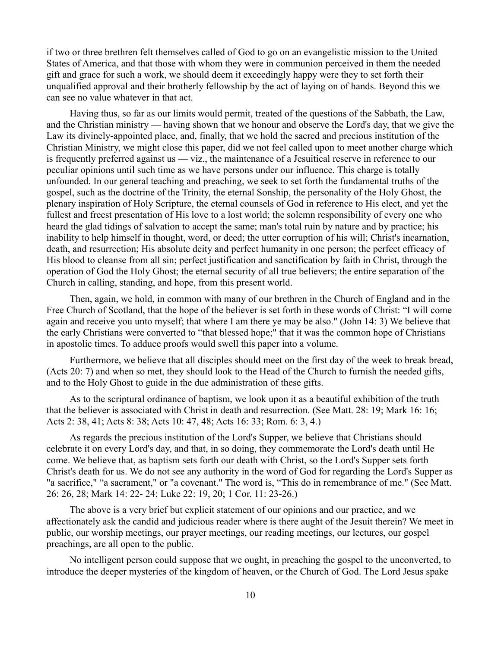if two or three brethren felt themselves called of God to go on an evangelistic mission to the United States of America, and that those with whom they were in communion perceived in them the needed gift and grace for such a work, we should deem it exceedingly happy were they to set forth their unqualified approval and their brotherly fellowship by the act of laying on of hands. Beyond this we can see no value whatever in that act.

Having thus, so far as our limits would permit, treated of the questions of the Sabbath, the Law, and the Christian ministry — having shown that we honour and observe the Lord's day, that we give the Law its divinely-appointed place, and, finally, that we hold the sacred and precious institution of the Christian Ministry, we might close this paper, did we not feel called upon to meet another charge which is frequently preferred against us — viz., the maintenance of a Jesuitical reserve in reference to our peculiar opinions until such time as we have persons under our influence. This charge is totally unfounded. In our general teaching and preaching, we seek to set forth the fundamental truths of the gospel, such as the doctrine of the Trinity, the eternal Sonship, the personality of the Holy Ghost, the plenary inspiration of Holy Scripture, the eternal counsels of God in reference to His elect, and yet the fullest and freest presentation of His love to a lost world; the solemn responsibility of every one who heard the glad tidings of salvation to accept the same; man's total ruin by nature and by practice; his inability to help himself in thought, word, or deed; the utter corruption of his will; Christ's incarnation, death, and resurrection; His absolute deity and perfect humanity in one person; the perfect efficacy of His blood to cleanse from all sin; perfect justification and sanctification by faith in Christ, through the operation of God the Holy Ghost; the eternal security of all true believers; the entire separation of the Church in calling, standing, and hope, from this present world.

Then, again, we hold, in common with many of our brethren in the Church of England and in the Free Church of Scotland, that the hope of the believer is set forth in these words of Christ: "I will come again and receive you unto myself; that where I am there ye may be also." (John 14: 3) We believe that the early Christians were converted to "that blessed hope;" that it was the common hope of Christians in apostolic times. To adduce proofs would swell this paper into a volume.

Furthermore, we believe that all disciples should meet on the first day of the week to break bread, (Acts 20: 7) and when so met, they should look to the Head of the Church to furnish the needed gifts, and to the Holy Ghost to guide in the due administration of these gifts.

As to the scriptural ordinance of baptism, we look upon it as a beautiful exhibition of the truth that the believer is associated with Christ in death and resurrection. (See Matt. 28: 19; Mark 16: 16; Acts 2: 38, 41; Acts 8: 38; Acts 10: 47, 48; Acts 16: 33; Rom. 6: 3, 4.)

As regards the precious institution of the Lord's Supper, we believe that Christians should celebrate it on every Lord's day, and that, in so doing, they commemorate the Lord's death until He come. We believe that, as baptism sets forth our death with Christ, so the Lord's Supper sets forth Christ's death for us. We do not see any authority in the word of God for regarding the Lord's Supper as "a sacrifice," "a sacrament," or "a covenant." The word is, "This do in remembrance of me." (See Matt. 26: 26, 28; Mark 14: 22- 24; Luke 22: 19, 20; 1 Cor. 11: 23-26.)

The above is a very brief but explicit statement of our opinions and our practice, and we affectionately ask the candid and judicious reader where is there aught of the Jesuit therein? We meet in public, our worship meetings, our prayer meetings, our reading meetings, our lectures, our gospel preachings, are all open to the public.

No intelligent person could suppose that we ought, in preaching the gospel to the unconverted, to introduce the deeper mysteries of the kingdom of heaven, or the Church of God. The Lord Jesus spake